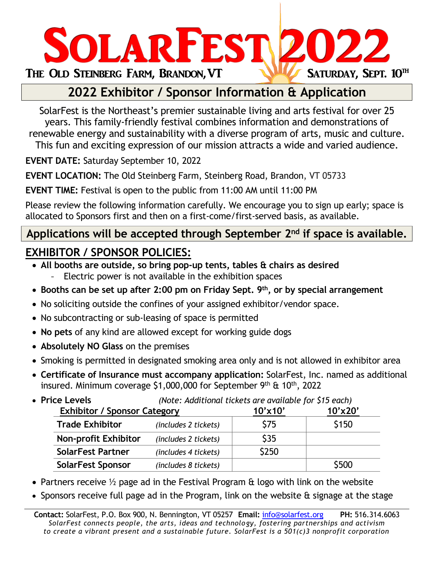

## **2022 Exhibitor / Sponsor Information & Application**

SolarFest is the Northeast's premier sustainable living and arts festival for over 25 years. This family-friendly festival combines information and demonstrations of renewable energy and sustainability with a diverse program of arts, music and culture.

This fun and exciting expression of our mission attracts a wide and varied audience.

**EVENT DATE:** Saturday September 10, 2022

**EVENT LOCATION:** The Old Steinberg Farm, Steinberg Road, Brandon, VT 05733

**EVENT TIME:** Festival is open to the public from 11:00 AM until 11:00 PM

Please review the following information carefully. We encourage you to sign up early; space is allocated to Sponsors first and then on a first-come/first-served basis, as available.

### **Applications will be accepted through September 2nd if space is available.**

## **EXHIBITOR / SPONSOR POLICIES:**

- **All booths are outside, so bring pop-up tents, tables & chairs as desired**
	- Electric power is not available in the exhibition spaces
- **Booths can be set up after 2:00 pm on Friday Sept. 9th, or by special arrangement**
- No soliciting outside the confines of your assigned exhibitor/vendor space.
- No subcontracting or sub-leasing of space is permitted
- **No pets** of any kind are allowed except for working guide dogs
- **Absolutely NO Glass** on the premises
- Smoking is permitted in designated smoking area only and is not allowed in exhibitor area
- **Certificate of Insurance must accompany application:** SolarFest, Inc. named as additional insured. Minimum coverage  $$1,000,000$  for September 9<sup>th</sup> & 10<sup>th</sup>, 2022
- **Price Levels** *(Note: Additional tickets are available for \$15 each)*

| <b>Exhibitor / Sponsor Category</b> |                      | $10'$ x $10'$ | $10'$ x $20'$ |
|-------------------------------------|----------------------|---------------|---------------|
| <b>Trade Exhibitor</b>              | (includes 2 tickets) | <b>S75</b>    | \$150         |
| <b>Non-profit Exhibitor</b>         | (includes 2 tickets) | <b>\$35</b>   |               |
| <b>SolarFest Partner</b>            | (includes 4 tickets) | \$250         |               |
| <b>SolarFest Sponsor</b>            | (includes 8 tickets) |               | \$500         |

- Partners receive  $\frac{1}{2}$  page ad in the Festival Program  $\alpha$  logo with link on the website
- Sponsors receive full page ad in the Program, link on the website & signage at the stage